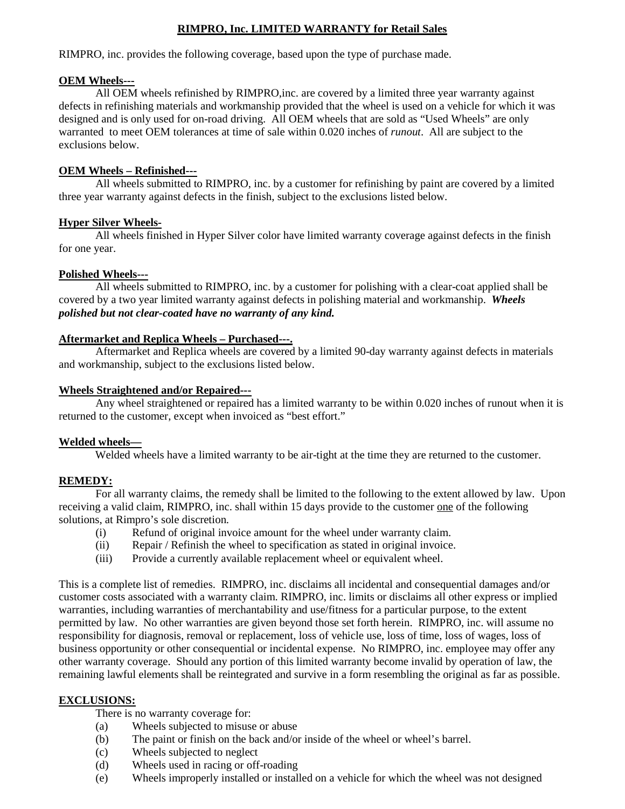## **RIMPRO, Inc. LIMITED WARRANTY for Retail Sales**

RIMPRO, inc. provides the following coverage, based upon the type of purchase made.

#### **OEM Wheels---**

 All OEM wheels refinished by RIMPRO,inc. are covered by a limited three year warranty against defects in refinishing materials and workmanship provided that the wheel is used on a vehicle for which it was designed and is only used for on-road driving. All OEM wheels that are sold as "Used Wheels" are only warranted to meet OEM tolerances at time of sale within 0.020 inches of *runout*. All are subject to the exclusions below.

#### **OEM Wheels – Refinished---**

 All wheels submitted to RIMPRO, inc. by a customer for refinishing by paint are covered by a limited three year warranty against defects in the finish, subject to the exclusions listed below.

#### **Hyper Silver Wheels-**

 All wheels finished in Hyper Silver color have limited warranty coverage against defects in the finish for one year.

#### **Polished Wheels---**

 All wheels submitted to RIMPRO, inc. by a customer for polishing with a clear-coat applied shall be covered by a two year limited warranty against defects in polishing material and workmanship. *Wheels polished but not clear-coated have no warranty of any kind.* 

#### **Aftermarket and Replica Wheels – Purchased---.**

 Aftermarket and Replica wheels are covered by a limited 90-day warranty against defects in materials and workmanship, subject to the exclusions listed below.

#### **Wheels Straightened and/or Repaired---**

 Any wheel straightened or repaired has a limited warranty to be within 0.020 inches of runout when it is returned to the customer, except when invoiced as "best effort."

## **Welded wheels—**

Welded wheels have a limited warranty to be air-tight at the time they are returned to the customer.

## **REMEDY:**

For all warranty claims, the remedy shall be limited to the following to the extent allowed by law. Upon receiving a valid claim, RIMPRO, inc. shall within 15 days provide to the customer one of the following solutions, at Rimpro's sole discretion.

- (i) Refund of original invoice amount for the wheel under warranty claim.
- (ii) Repair / Refinish the wheel to specification as stated in original invoice.
- (iii) Provide a currently available replacement wheel or equivalent wheel.

This is a complete list of remedies. RIMPRO, inc. disclaims all incidental and consequential damages and/or customer costs associated with a warranty claim. RIMPRO, inc. limits or disclaims all other express or implied warranties, including warranties of merchantability and use/fitness for a particular purpose, to the extent permitted by law. No other warranties are given beyond those set forth herein. RIMPRO, inc. will assume no responsibility for diagnosis, removal or replacement, loss of vehicle use, loss of time, loss of wages, loss of business opportunity or other consequential or incidental expense. No RIMPRO, inc. employee may offer any other warranty coverage. Should any portion of this limited warranty become invalid by operation of law, the remaining lawful elements shall be reintegrated and survive in a form resembling the original as far as possible.

## **EXCLUSIONS:**

There is no warranty coverage for:

- (a) Wheels subjected to misuse or abuse
- (b) The paint or finish on the back and/or inside of the wheel or wheel's barrel.
- (c) Wheels subjected to neglect
- (d) Wheels used in racing or off-roading
- (e) Wheels improperly installed or installed on a vehicle for which the wheel was not designed